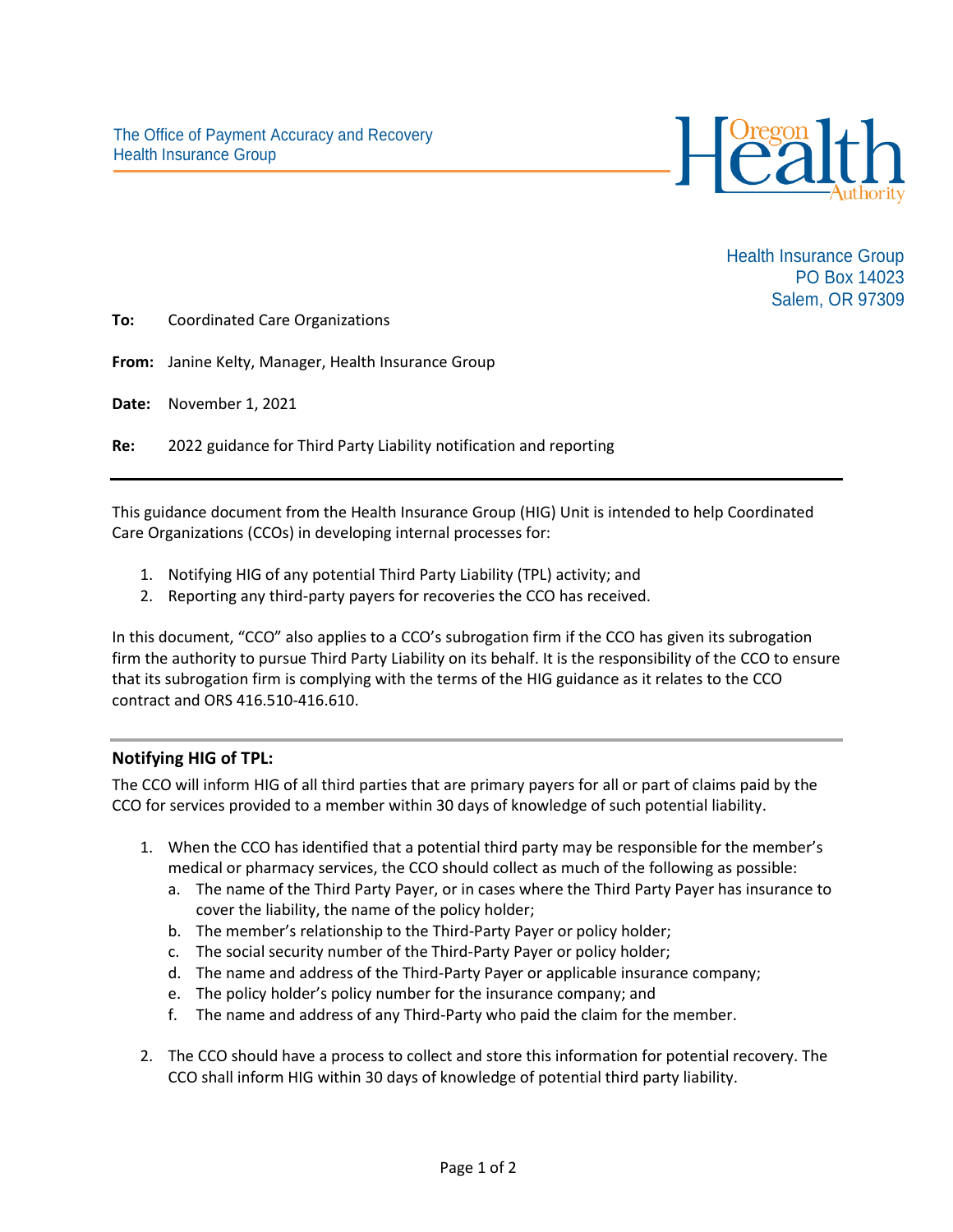

Health Insurance Group PO Box 14023 Salem, OR 97309

**To:** Coordinated Care Organizations

**From:** Janine Kelty, Manager, Health Insurance Group

**Date:** November 1, 2021

**Re:** 2022 guidance for Third Party Liability notification and reporting

This guidance document from the Health Insurance Group (HIG) Unit is intended to help Coordinated Care Organizations (CCOs) in developing internal processes for:

- 1. Notifying HIG of any potential Third Party Liability (TPL) activity; and
- 2. Reporting any third-party payers for recoveries the CCO has received.

In this document, "CCO" also applies to a CCO's subrogation firm if the CCO has given its subrogation firm the authority to pursue Third Party Liability on its behalf. It is the responsibility of the CCO to ensure that its subrogation firm is complying with the terms of the HIG guidance as it relates to the CCO contract and ORS 416.510-416.610.

## **Notifying HIG of TPL:**

The CCO will inform HIG of all third parties that are primary payers for all or part of claims paid by the CCO for services provided to a member within 30 days of knowledge of such potential liability.

- 1. When the CCO has identified that a potential third party may be responsible for the member's medical or pharmacy services, the CCO should collect as much of the following as possible:
	- a. The name of the Third Party Payer, or in cases where the Third Party Payer has insurance to cover the liability, the name of the policy holder;
	- b. The member's relationship to the Third-Party Payer or policy holder;
	- c. The social security number of the Third-Party Payer or policy holder;
	- d. The name and address of the Third-Party Payer or applicable insurance company;
	- e. The policy holder's policy number for the insurance company; and
	- f. The name and address of any Third-Party who paid the claim for the member.
- 2. The CCO should have a process to collect and store this information for potential recovery. The CCO shall inform HIG within 30 days of knowledge of potential third party liability.